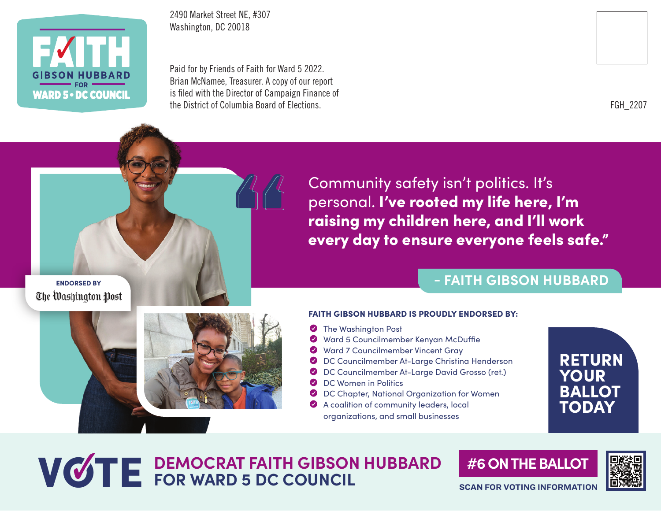

2490 Market Street NE, #307 Washington, DC 20018

Paid for by Friends of Faith for Ward 5 2022. Brian McNamee, Treasurer. A copy of our report is filed with the Director of Campaign Finance of the District of Columbia Board of Elections.



FGH\_2207

Community safety isn't politics. It's personal. I've rooted my life here, I'm raising my children here, and I'll work every day to ensure everyone feels safe."

#### ENDORSED BY The Washington Post

#### FAITH GIBSON HUBBARD IS PROUDLY ENDORSED BY:

- **Y** The Washington Post
- Y Ward 5 Councilmember Kenyan McDuffie
- ◆ Ward 7 Councilmember Vincent Gray
- Y DC Councilmember At-Large Christina Henderson
- ◆ DC Councilmember At-Large David Grosso (ret.)
- **O** DC Women in Politics
- ◆ DC Chapter, National Organization for Women
- A coalition of community leaders, local organizations, and small businesses



## WOTE DEMOCRAT FAITH GIBSON HUBBARD<br>
FOR WARD 5 DC COUNCIL

**#6 ON THE BALLOT**



**SCAN FOR VOTING INFORMATION** 

**- FAITH GIBSON HUBBARD**